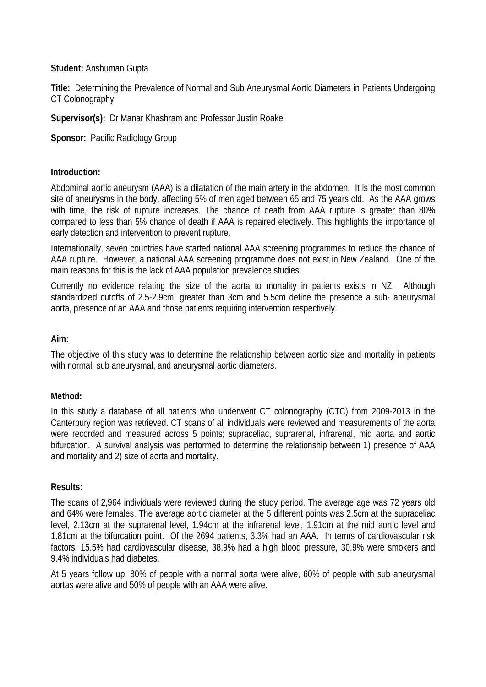#### **Student:** Anshuman Gupta

**Title:** Determining the Prevalence of Normal and Sub Aneurysmal Aortic Diameters in Patients Undergoing CT Colonography

**Supervisor(s):** Dr Manar Khashram and Professor Justin Roake

**Sponsor: Pacific Radiology Group** 

## **Introduction:**

Abdominal aortic aneurysm (AAA) is a dilatation of the main artery in the abdomen. It is the most common site of aneurysms in the body, affecting 5% of men aged between 65 and 75 years old. As the AAA grows with time, the risk of rupture increases. The chance of death from AAA rupture is greater than 80% compared to less than 5% chance of death if AAA is repaired electively. This highlights the importance of early detection and intervention to prevent rupture.

Internationally, seven countries have started national AAA screening programmes to reduce the chance of AAA rupture. However, a national AAA screening programme does not exist in New Zealand. One of the main reasons for this is the lack of AAA population prevalence studies.

Currently no evidence relating the size of the aorta to mortality in patients exists in NZ. Although standardized cutoffs of 2.5-2.9cm, greater than 3cm and 5.5cm define the presence a sub- aneurysmal aorta, presence of an AAA and those patients requiring intervention respectively.

# **Aim:**

The objective of this study was to determine the relationship between aortic size and mortality in patients with normal, sub aneurysmal, and aneurysmal aortic diameters.

## **Method:**

In this study a database of all patients who underwent CT colonography (CTC) from 2009-2013 in the Canterbury region was retrieved. CT scans of all individuals were reviewed and measurements of the aorta were recorded and measured across 5 points; supraceliac, suprarenal, infrarenal, mid aorta and aortic bifurcation. A survival analysis was performed to determine the relationship between 1) presence of AAA and mortality and 2) size of aorta and mortality.

## **Results:**

The scans of 2,964 individuals were reviewed during the study period. The average age was 72 years old and 64% were females. The average aortic diameter at the 5 different points was 2.5cm at the supraceliac level, 2.13cm at the suprarenal level, 1.94cm at the infrarenal level, 1.91cm at the mid aortic level and 1.81cm at the bifurcation point. Of the 2694 patients, 3.3% had an AAA. In terms of cardiovascular risk factors, 15.5% had cardiovascular disease, 38.9% had a high blood pressure, 30.9% were smokers and 9.4% individuals had diabetes.

At 5 years follow up, 80% of people with a normal aorta were alive, 60% of people with sub aneurysmal aortas were alive and 50% of people with an AAA were alive.